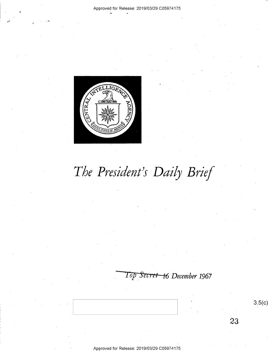

. ,

# *The President's Daily Brief*

*'1 op* . *5ec; ct 16 December 1967* 

3.5(c)

23

Approved for Release: 2019/03/29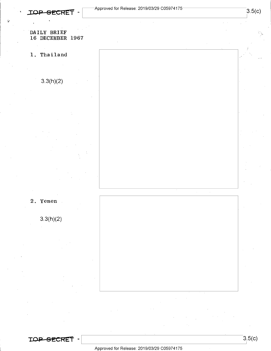#### DAILY BRIEF 16 DECEMBER 1967

1. Thailand

3.3(h)(2)

2. Yemen

3.3(h)(2)





 $3.5(c)$ 

I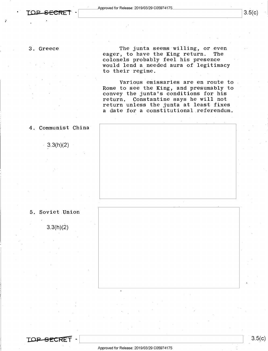#### 3. Greece

The junta seems willing, or even<br>. to have the King return. The eager, to have the King return. colonels probably feel his presence would lend a needed aura of legitimacy to their regime.

Various emissaries are en route to Rome to see the King, and presumably to convey the junta's conditions for his return. Constantine says he will not return unless the junta at least fixes a date for a constitutional referendum.

4. Communist China

 $3.3(h)(2)$ 



3.3(h)(2)



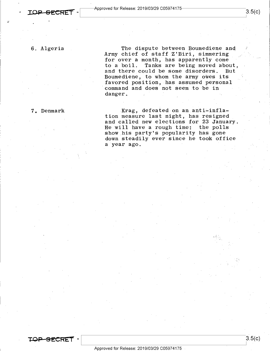I

6. Algeria

•'

The dispute between Boumediene and Army chief of staff Z'Biri, simmering for over a month, has apparently come to a boil. Tanks are being moved about, and there could be some disorders. But Boumediene, to whom the army owes its favored position, has assumed personal command and does not seem to be in danger.

7. Denmark

Krag, defeated on an anti-inflation measure last night, has resigned and called new elections for 23 January. He will have a rough time: the polls show his party's popularity has gone down steadily ever since he took office a year ago.

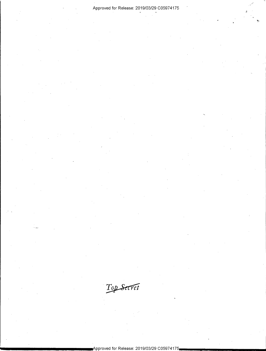Top Secret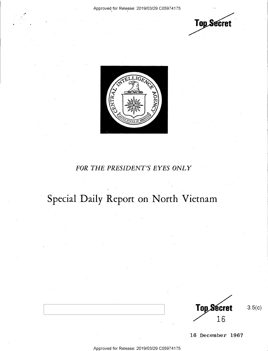,. ..





### *FOR THE PRESIDENT'S EYES ONLY*

## **Special Daily Report on North Vietnam**

**Top Secret** 16

3.5(c)

**16 .December 1967**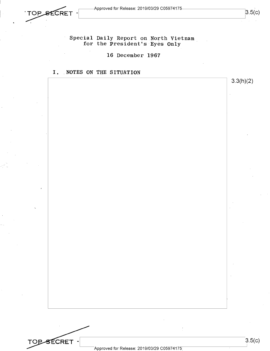

 $3.5(c)$ 

3.3(h)(2)

Special Daily Report on North Vietnam for the President's Eyes Only

16 December 1967

I. NOTES ON THE SITUATION

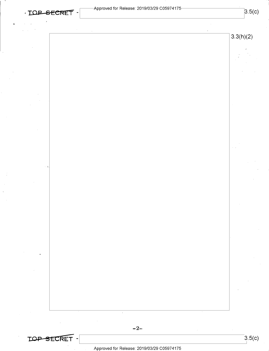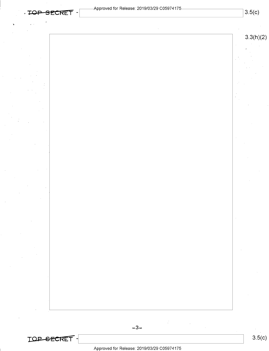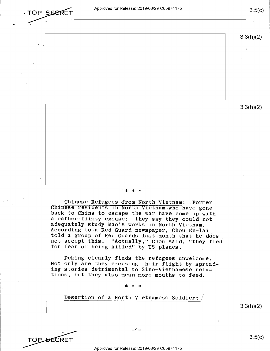

Not only are they excusing their flight by spreading stories detrimental to Sino-Vietnamese relations, but they also mean more mouths to feed.

\* \* \*

Desertion of a North Vietnamese Soldier:

3.3(h)(2)

**TOP SECRET** 

Approved for Release: 2019/03/29 C05974175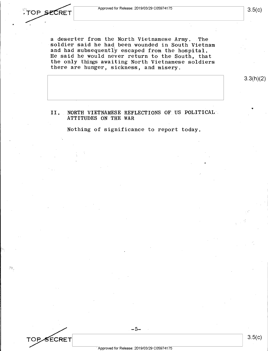TOP SECRET

a deserter from the North Vietnamese Army. The soldier said he had been wounded in South Vietnam and had subsequently escaped from the hospital. He said he would never return to the South, that the only things awaiting North Vietnamese soldiers there are hunger, sickness, and misery.

3.3(h)(2)

II. NORTH VIETNAMESE REFLECTIONS OF US POLITICAL. ATTITUDES ON THE WAR

Nothing of significance to report today.